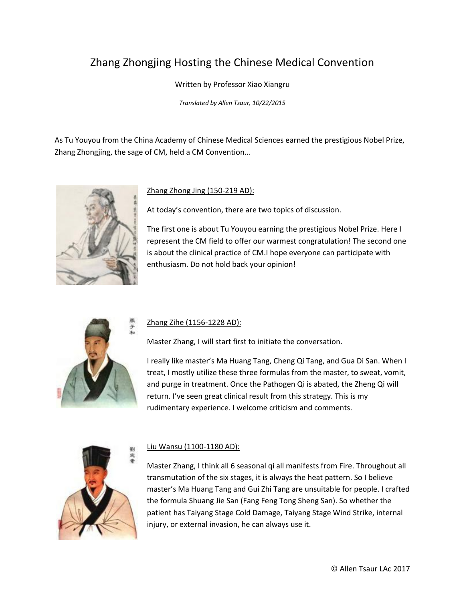# Zhang Zhongjing Hosting the Chinese Medical Convention

### Written by Professor Xiao Xiangru

*Translated by Allen Tsaur, 10/22/2015*

As Tu Youyou from the China Academy of Chinese Medical Sciences earned the prestigious Nobel Prize, Zhang Zhongjing, the sage of CM, held a CM Convention…



#### Zhang Zhong Jing (150-219 AD):

At today's convention, there are two topics of discussion.

The first one is about Tu Youyou earning the prestigious Nobel Prize. Here I represent the CM field to offer our warmest congratulation! The second one is about the clinical practice of CM.I hope everyone can participate with enthusiasm. Do not hold back your opinion!



### Zhang Zihe (1156-1228 AD):

Master Zhang, I will start first to initiate the conversation.

I really like master's Ma Huang Tang, Cheng Qi Tang, and Gua Di San. When I treat, I mostly utilize these three formulas from the master, to sweat, vomit, and purge in treatment. Once the Pathogen Qi is abated, the Zheng Qi will return. I've seen great clinical result from this strategy. This is my rudimentary experience. I welcome criticism and comments.



### Liu Wansu (1100-1180 AD):

Master Zhang, I think all 6 seasonal qi all manifests from Fire. Throughout all transmutation of the six stages, it is always the heat pattern. So I believe master's Ma Huang Tang and Gui Zhi Tang are unsuitable for people. I crafted the formula Shuang Jie San (Fang Feng Tong Sheng San). So whether the patient has Taiyang Stage Cold Damage, Taiyang Stage Wind Strike, internal injury, or external invasion, he can always use it.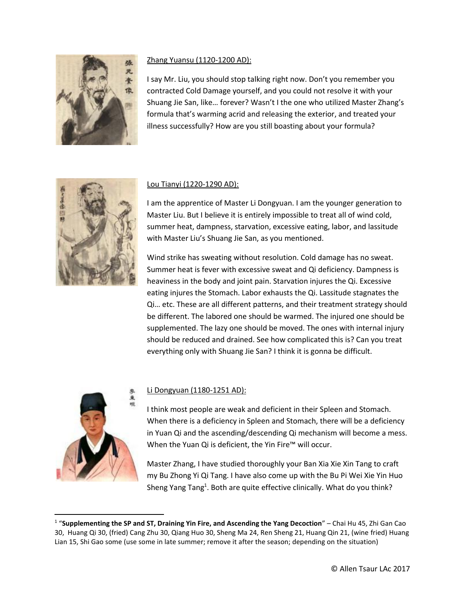

# Zhang Yuansu (1120-1200 AD):

I say Mr. Liu, you should stop talking right now. Don't you remember you contracted Cold Damage yourself, and you could not resolve it with your Shuang Jie San, like… forever? Wasn't I the one who utilized Master Zhang's formula that's warming acrid and releasing the exterior, and treated your illness successfully? How are you still boasting about your formula?



# Lou Tianyi (1220-1290 AD):

I am the apprentice of Master Li Dongyuan. I am the younger generation to Master Liu. But I believe it is entirely impossible to treat all of wind cold, summer heat, dampness, starvation, excessive eating, labor, and lassitude with Master Liu's Shuang Jie San, as you mentioned.

Wind strike has sweating without resolution. Cold damage has no sweat. Summer heat is fever with excessive sweat and Qi deficiency. Dampness is heaviness in the body and joint pain. Starvation injures the Qi. Excessive eating injures the Stomach. Labor exhausts the Qi. Lassitude stagnates the Qi… etc. These are all different patterns, and their treatment strategy should be different. The labored one should be warmed. The injured one should be supplemented. The lazy one should be moved. The ones with internal injury should be reduced and drained. See how complicated this is? Can you treat everything only with Shuang Jie San? I think it is gonna be difficult.



 $\overline{\phantom{a}}$ 

# Li Dongyuan (1180-1251 AD):

I think most people are weak and deficient in their Spleen and Stomach. When there is a deficiency in Spleen and Stomach, there will be a deficiency in Yuan Qi and the ascending/descending Qi mechanism will become a mess. When the Yuan Qi is deficient, the Yin Fire™ will occur.

Master Zhang, I have studied thoroughly your Ban Xia Xie Xin Tang to craft my Bu Zhong Yi Qi Tang. I have also come up with the Bu Pi Wei Xie Yin Huo Sheng Yang Tang<sup>1</sup>. Both are quite effective clinically. What do you think?

<sup>1</sup> "**Supplementing the SP and ST, Draining Yin Fire, and Ascending the Yang Decoction**" – Chai Hu 45, Zhi Gan Cao 30, Huang Qi 30, (fried) Cang Zhu 30, Qiang Huo 30, Sheng Ma 24, Ren Sheng 21, Huang Qin 21, (wine fried) Huang Lian 15, Shi Gao some (use some in late summer; remove it after the season; depending on the situation)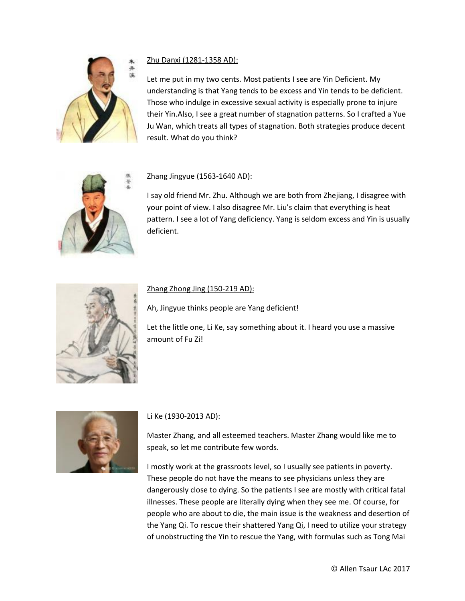

# Zhu Danxi (1281-1358 AD):

Let me put in my two cents. Most patients I see are Yin Deficient. My understanding is that Yang tends to be excess and Yin tends to be deficient. Those who indulge in excessive sexual activity is especially prone to injure their Yin.Also, I see a great number of stagnation patterns. So I crafted a Yue Ju Wan, which treats all types of stagnation. Both strategies produce decent result. What do you think?



# Zhang Jingyue (1563-1640 AD):

I say old friend Mr. Zhu. Although we are both from Zhejiang, I disagree with your point of view. I also disagree Mr. Liu's claim that everything is heat pattern. I see a lot of Yang deficiency. Yang is seldom excess and Yin is usually deficient.



## Zhang Zhong Jing (150-219 AD):

Ah, Jingyue thinks people are Yang deficient!

Let the little one, Li Ke, say something about it. I heard you use a massive amount of Fu Zi!



# Li Ke (1930-2013 AD):

Master Zhang, and all esteemed teachers. Master Zhang would like me to speak, so let me contribute few words.

I mostly work at the grassroots level, so I usually see patients in poverty. These people do not have the means to see physicians unless they are dangerously close to dying. So the patients I see are mostly with critical fatal illnesses. These people are literally dying when they see me. Of course, for people who are about to die, the main issue is the weakness and desertion of the Yang Qi. To rescue their shattered Yang Qi, I need to utilize your strategy of unobstructing the Yin to rescue the Yang, with formulas such as Tong Mai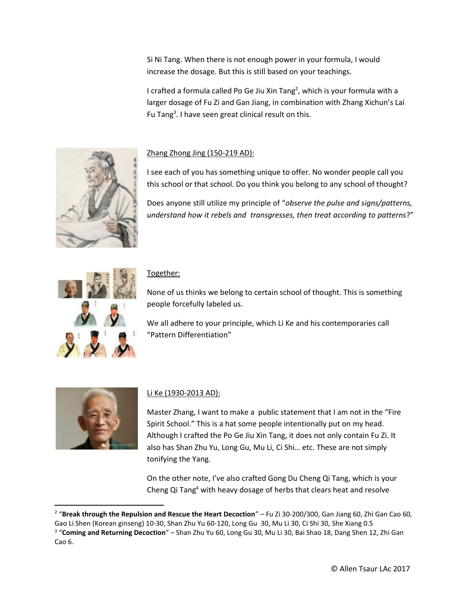Si Ni Tang. When there is not enough power in your formula, I would increase the dosage. But this is still based on your teachings.

I crafted a formula called Po Ge Jiu Xin Tang<sup>2</sup>, which is your formula with a larger dosage of Fu Zi and Gan Jiang, in combination with Zhang Xichun's Lai Fu Tang<sup>3</sup>. I have seen great clinical result on this.



# Zhang Zhong Jing (150-219 AD):

I see each of you has something unique to offer. No wonder people call you this school or that school. Do you think you belong to any school of thought?

Does anyone still utilize my principle of "*observe the pulse and signs/patterns, understand how it rebels and transgresses, then treat according to patterns*?"



## Together:

None of us thinks we belong to certain school of thought. This is something people forcefully labeled us.

We all adhere to your principle, which Li Ke and his contemporaries call "Pattern Differentiation"



 $\overline{a}$ 

# Li Ke (1930-2013 AD):

Master Zhang, I want to make a public statement that I am not in the "Fire Spirit School." This is a hat some people intentionally put on my head. Although I crafted the Po Ge Jiu Xin Tang, it does not only contain Fu Zi. It also has Shan Zhu Yu, Long Gu, Mu Li, Ci Shi… etc. These are not simply tonifying the Yang.

On the other note, I've also crafted Gong Du Cheng Qi Tang, which is your Cheng Qi Tang<sup>4</sup> with heavy dosage of herbs that clears heat and resolve

<sup>2</sup> "**Break through the Repulsion and Rescue the Heart Decoction**" – Fu Zi 30-200/300, Gan Jiang 60, Zhi Gan Cao 60,

Gao Li Shen (Korean ginseng) 10-30, Shan Zhu Yu 60-120, Long Gu 30, Mu Li 30, Ci Shi 30, She Xiang 0.5

<sup>3</sup> "**Coming and Returning Decoction**" – Shan Zhu Yu 60, Long Gu 30, Mu Li 30, Bai Shao 18, Dang Shen 12, Zhi Gan Cao 6.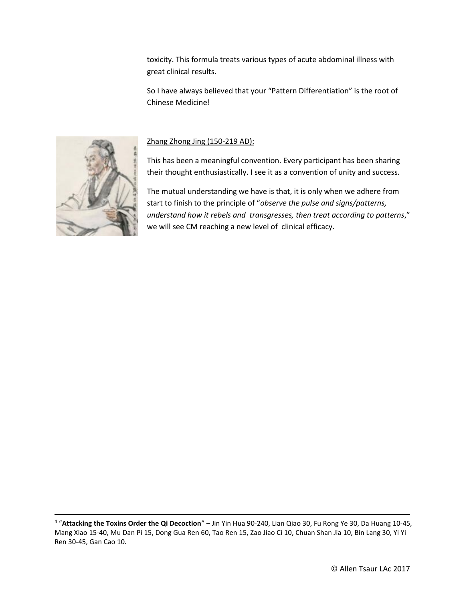toxicity. This formula treats various types of acute abdominal illness with great clinical results.

So I have always believed that your "Pattern Differentiation" is the root of Chinese Medicine!



 $\overline{\phantom{a}}$ 

# Zhang Zhong Jing (150-219 AD):

This has been a meaningful convention. Every participant has been sharing their thought enthusiastically. I see it as a convention of unity and success.

The mutual understanding we have is that, it is only when we adhere from start to finish to the principle of "*observe the pulse and signs/patterns, understand how it rebels and transgresses, then treat according to patterns*," we will see CM reaching a new level of clinical efficacy.

<sup>4</sup> "**Attacking the Toxins Order the Qi Decoction**" – Jin Yin Hua 90-240, Lian Qiao 30, Fu Rong Ye 30, Da Huang 10-45, Mang Xiao 15-40, Mu Dan Pi 15, Dong Gua Ren 60, Tao Ren 15, Zao Jiao Ci 10, Chuan Shan Jia 10, Bin Lang 30, Yi Yi Ren 30-45, Gan Cao 10.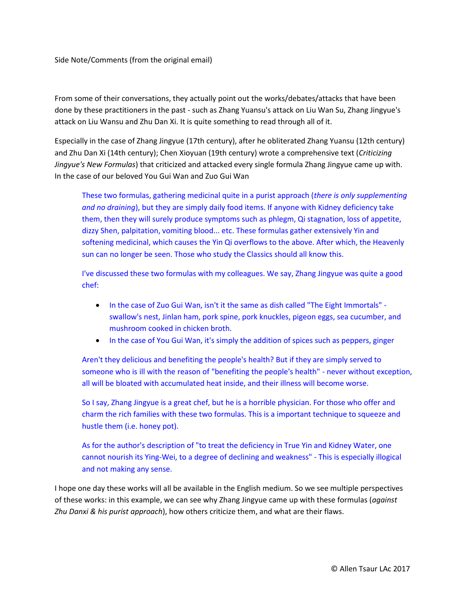#### Side Note/Comments (from the original email)

From some of their conversations, they actually point out the works/debates/attacks that have been done by these practitioners in the past - such as Zhang Yuansu's attack on Liu Wan Su, Zhang Jingyue's attack on Liu Wansu and Zhu Dan Xi. It is quite something to read through all of it.

Especially in the case of Zhang Jingyue (17th century), after he obliterated Zhang Yuansu (12th century) and Zhu Dan Xi (14th century); Chen Xioyuan (19th century) wrote a comprehensive text (*Criticizing Jingyue's New Formulas*) that criticized and attacked every single formula Zhang Jingyue came up with. In the case of our beloved You Gui Wan and Zuo Gui Wan

These two formulas, gathering medicinal quite in a purist approach (*there is only supplementing and no draining*), but they are simply daily food items. If anyone with Kidney deficiency take them, then they will surely produce symptoms such as phlegm, Qi stagnation, loss of appetite, dizzy Shen, palpitation, vomiting blood... etc. These formulas gather extensively Yin and softening medicinal, which causes the Yin Qi overflows to the above. After which, the Heavenly sun can no longer be seen. Those who study the Classics should all know this.

I've discussed these two formulas with my colleagues. We say, Zhang Jingyue was quite a good chef:

- In the case of Zuo Gui Wan, isn't it the same as dish called "The Eight Immortals" swallow's nest, Jinlan ham, pork spine, pork knuckles, pigeon eggs, sea cucumber, and mushroom cooked in chicken broth.
- In the case of You Gui Wan, it's simply the addition of spices such as peppers, ginger

Aren't they delicious and benefiting the people's health? But if they are simply served to someone who is ill with the reason of "benefiting the people's health" - never without exception, all will be bloated with accumulated heat inside, and their illness will become worse.

So I say, Zhang Jingyue is a great chef, but he is a horrible physician. For those who offer and charm the rich families with these two formulas. This is a important technique to squeeze and hustle them (i.e. honey pot).

As for the author's description of "to treat the deficiency in True Yin and Kidney Water, one cannot nourish its Ying-Wei, to a degree of declining and weakness" - This is especially illogical and not making any sense.

I hope one day these works will all be available in the English medium. So we see multiple perspectives of these works: in this example, we can see why Zhang Jingyue came up with these formulas (*against Zhu Danxi & his purist approach*), how others criticize them, and what are their flaws.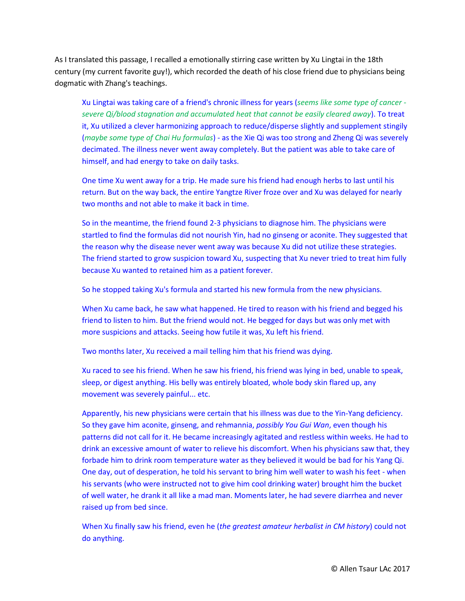As I translated this passage, I recalled a emotionally stirring case written by Xu Lingtai in the 18th century (my current favorite guy!), which recorded the death of his close friend due to physicians being dogmatic with Zhang's teachings.

Xu Lingtai was taking care of a friend's chronic illness for years (*seems like some type of cancer severe Qi/blood stagnation and accumulated heat that cannot be easily cleared away*). To treat it, Xu utilized a clever harmonizing approach to reduce/disperse slightly and supplement stingily (*maybe some type of Chai Hu formulas*) - as the Xie Qi was too strong and Zheng Qi was severely decimated. The illness never went away completely. But the patient was able to take care of himself, and had energy to take on daily tasks.

One time Xu went away for a trip. He made sure his friend had enough herbs to last until his return. But on the way back, the entire Yangtze River froze over and Xu was delayed for nearly two months and not able to make it back in time.

So in the meantime, the friend found 2-3 physicians to diagnose him. The physicians were startled to find the formulas did not nourish Yin, had no ginseng or aconite. They suggested that the reason why the disease never went away was because Xu did not utilize these strategies. The friend started to grow suspicion toward Xu, suspecting that Xu never tried to treat him fully because Xu wanted to retained him as a patient forever.

So he stopped taking Xu's formula and started his new formula from the new physicians.

When Xu came back, he saw what happened. He tired to reason with his friend and begged his friend to listen to him. But the friend would not. He begged for days but was only met with more suspicions and attacks. Seeing how futile it was, Xu left his friend.

Two months later, Xu received a mail telling him that his friend was dying.

Xu raced to see his friend. When he saw his friend, his friend was lying in bed, unable to speak, sleep, or digest anything. His belly was entirely bloated, whole body skin flared up, any movement was severely painful... etc.

Apparently, his new physicians were certain that his illness was due to the Yin-Yang deficiency. So they gave him aconite, ginseng, and rehmannia, *possibly You Gui Wan*, even though his patterns did not call for it. He became increasingly agitated and restless within weeks. He had to drink an excessive amount of water to relieve his discomfort. When his physicians saw that, they forbade him to drink room temperature water as they believed it would be bad for his Yang Qi. One day, out of desperation, he told his servant to bring him well water to wash his feet - when his servants (who were instructed not to give him cool drinking water) brought him the bucket of well water, he drank it all like a mad man. Moments later, he had severe diarrhea and never raised up from bed since.

When Xu finally saw his friend, even he (*the greatest amateur herbalist in CM history*) could not do anything.